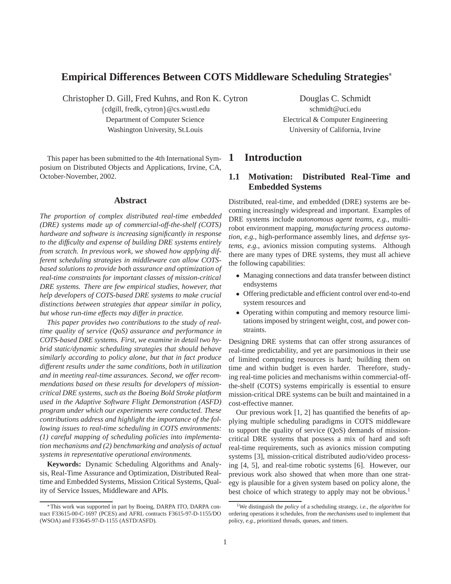## **Empirical Differences Between COTS Middleware Scheduling Strategies**

Christopher D. Gill, Fred Kuhns, and Ron K. Cytron Douglas C. Schmidt

fcdgill, fredk, cytrong@cs.wustl.edu schmidt@uci.edu Washington University, St.Louis University of California, Irvine

This paper has been submitted to the 4th International Symposium on Distributed Objects and Applications, Irvine, CA, October-November, 2002.

#### **Abstract**

*The proportion of complex distributed real-time embedded (DRE) systems made up of commercial-off-the-shelf (COTS) hardware and software is increasing significantly in response to the difficulty and expense of building DRE systems entirely from scratch. In previous work, we showed how applying different scheduling strategies in middleware can allow COTSbased solutions to provide both assurance and optimization of real-time constraints for important classes of mission-critical DRE systems. There are few empirical studies, however, that help developers of COTS-based DRE systems to make crucial distinctions between strategies that appear similar in policy, but whose run-time effects may differ in practice.*

*This paper provides two contributions to the study of realtime quality of service (QoS) assurance and performance in COTS-based DRE systems. First, we examine in detail two hybrid static/dynamic scheduling strategies that should behave similarly according to policy alone, but that in fact produce different results under the same conditions, both in utilization and in meeting real-time assurances. Second, we offer recommendations based on these results for developers of missioncritical DRE systems, such as the Boeing Bold Stroke platform used in the Adaptive Software Flight Demonstration (ASFD) program under which our experiments were conducted. These contributions address and highlight the importance of the following issues to real-time scheduling in COTS environments: (1) careful mapping of scheduling policies into implementation mechanisms and (2) benchmarking and analysis of actual systems in representative operational environments.*

**Keywords:** Dynamic Scheduling Algorithms and Analysis, Real-Time Assurance and Optimization, Distributed Realtime and Embedded Systems, Mission Critical Systems, Quality of Service Issues, Middleware and APIs.

Department of Computer Science Electrical & Computer Engineering

## **1 Introduction**

## **1.1 Motivation: Distributed Real-Time and Embedded Systems**

Distributed, real-time, and embedded (DRE) systems are becoming increasingly widespread and important. Examples of DRE systems include *autonomous agent teams*, *e.g.*, multirobot environment mapping, *manufacturing process automation*, *e.g.*, high-performance assembly lines, and *defense systems*, *e.g.*, avionics mission computing systems. Although there are many types of DRE systems, they must all achieve the following capabilities:

- Managing connections and data transfer between distinct endsystems
- Offering predictable and efficient control over end-to-end system resources and
- Operating within computing and memory resource limitations imposed by stringent weight, cost, and power constraints.

Designing DRE systems that can offer strong assurances of real-time predictability, and yet are parsimonious in their use of limited computing resources is hard; building them on time and within budget is even harder. Therefore, studying real-time policies and mechanisms within commercial-offthe-shelf (COTS) systems empirically is essential to ensure mission-critical DRE systems can be built and maintained in a cost-effective manner.

Our previous work [1, 2] has quantified the benefits of applying multiple scheduling paradigms in COTS middleware to support the quality of service (QoS) demands of missioncritical DRE systems that possess a mix of hard and soft real-time requirements, such as avionics mission computing systems [3], mission-critical distributed audio/video processing [4, 5], and real-time robotic systems [6]. However, our previous work also showed that when more than one strategy is plausible for a given system based on policy alone, the best choice of which strategy to apply may not be obvious.<sup>1</sup>

This work was supported in part by Boeing, DARPA ITO, DARPA contract F33615-00-C-1697 (PCES) and AFRL contracts F3615-97-D-1155/DO (WSOA) and F33645-97-D-1155 (ASTD/ASFD).

<sup>1</sup>We distinguish the *policy* of a scheduling strategy, *i.e.*, the *algorithm* for ordering operations it schedules, from the *mechanisms* used to implement that policy, *e.g.*, prioritized threads, queues, and timers.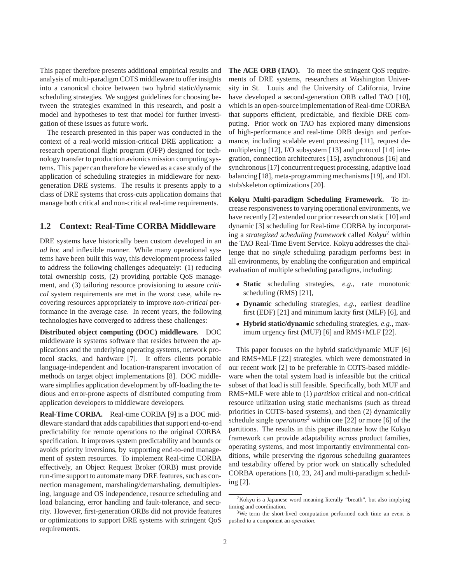This paper therefore presents additional empirical results and analysis of multi-paradigm COTS middleware to offer insights into a canonical choice between two hybrid static/dynamic scheduling strategies. We suggest guidelines for choosing between the strategies examined in this research, and posit a model and hypotheses to test that model for further investigation of these issues as future work.

The research presented in this paper was conducted in the context of a real-world mission-critical DRE application: a research operational flight program (OFP) designed for technology transfer to production avionics mission computing systems. This paper can therefore be viewed as a case study of the application of scheduling strategies in middleware for nextgeneration DRE systems. The results it presents apply to a class of DRE systems that cross-cuts application domains that manage both critical and non-critical real-time requirements.

#### **1.2 Context: Real-Time CORBA Middleware**

DRE systems have historically been custom developed in an *ad hoc* and inflexible manner. While many operational systems have been built this way, this development process failed to address the following challenges adequately: (1) reducing total ownership costs, (2) providing portable QoS management, and (3) tailoring resource provisioning to assure *critical* system requirements are met in the worst case, while recovering resources appropriately to improve *non-critical* performance in the average case. In recent years, the following technologies have converged to address these challenges:

**Distributed object computing (DOC) middleware.** DOC middleware is systems software that resides between the applications and the underlying operating systems, network protocol stacks, and hardware [7]. It offers clients portable language-independent and location-transparent invocation of methods on target object implementations [8]. DOC middleware simplifies application development by off-loading the tedious and error-prone aspects of distributed computing from application developers to middleware developers.

**Real-Time CORBA.** Real-time CORBA [9] is a DOC middleware standard that adds capabilities that support end-to-end predictability for remote operations to the original CORBA specification. It improves system predictability and bounds or avoids priority inversions, by supporting end-to-end management of system resources. To implement Real-time CORBA effectively, an Object Request Broker (ORB) must provide run-time support to automate many DRE features, such as connection management, marshaling/demarshaling, demultiplexing, language and OS independence, resource scheduling and load balancing, error handling and fault-tolerance, and security. However, first-generation ORBs did not provide features or optimizations to support DRE systems with stringent QoS requirements.

**The ACE ORB (TAO).** To meet the stringent QoS requirements of DRE systems, researchers at Washington University in St. Louis and the University of California, Irvine have developed a second-generation ORB called TAO [10], which is an open-source implementation of Real-time CORBA that supports efficient, predictable, and flexible DRE computing. Prior work on TAO has explored many dimensions of high-performance and real-time ORB design and performance, including scalable event processing [11], request demultiplexing [12], I/O subsystem [13] and protocol [14] integration, connection architectures [15], asynchronous [16] and synchronous [17] concurrent request processing, adaptive load balancing [18], meta-programming mechanisms [19], and IDL stub/skeleton optimizations [20].

**Kokyu Multi-paradigm Scheduling Framework.** To increase responsiveness to varying operational environments, we have recently [2] extended our prior research on static [10] and dynamic [3] scheduling for Real-time CORBA by incorporating a *strategized scheduling framework* called *Kokyu*<sup>2</sup> within the TAO Real-Time Event Service. Kokyu addresses the challenge that no *single* scheduling paradigm performs best in all environments, by enabling the configuration and empirical evaluation of multiple scheduling paradigms, including:

- **Static** scheduling strategies, *e.g.*, rate monotonic scheduling (RMS) [21],
- **Dynamic** scheduling strategies, *e.g.*, earliest deadline first (EDF) [21] and minimum laxity first (MLF) [6], and
- **Hybrid static/dynamic** scheduling strategies, *e.g.*, maximum urgency first (MUF) [6] and RMS+MLF [22].

This paper focuses on the hybrid static/dynamic MUF [6] and RMS+MLF [22] strategies, which were demonstrated in our recent work [2] to be preferable in COTS-based middleware when the total system load is infeasible but the critical subset of that load is still feasible. Specifically, both MUF and RMS+MLF were able to (1) *partition* critical and non-critical resource utilization using static mechanisms (such as thread priorities in COTS-based systems), and then (2) dynamically schedule single *operations*<sup>3</sup> within one [22] or more [6] of the partitions. The results in this paper illustrate how the Kokyu framework can provide adaptability across product families, operating systems, and most importantly environmental conditions, while preserving the rigorous scheduling guarantees and testability offered by prior work on statically scheduled CORBA operations [10, 23, 24] and multi-paradigm scheduling [2].

<sup>2</sup>Kokyu is a Japanese word meaning literally "breath", but also implying timing and coordination.

<sup>&</sup>lt;sup>3</sup>We term the short-lived computation performed each time an event is pushed to a component an *operation*.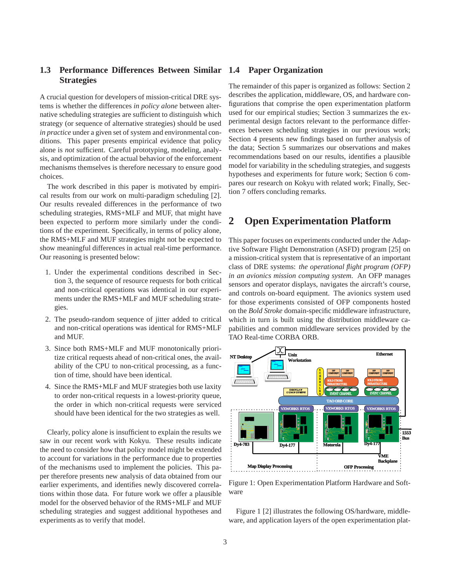## **1.3 Performance Differences Between Similar 1.4 Paper Organization Strategies**

A crucial question for developers of mission-critical DRE systems is whether the differences *in policy alone* between alternative scheduling strategies are sufficient to distinguish which strategy (or sequence of alternative strategies) should be used *in practice* under a given set of system and environmental conditions. This paper presents empirical evidence that policy alone is *not* sufficient. Careful prototyping, modeling, analysis, and optimization of the actual behavior of the enforcement mechanisms themselves is therefore necessary to ensure good choices.

The work described in this paper is motivated by empirical results from our work on multi-paradigm scheduling [2]. Our results revealed differences in the performance of two scheduling strategies, RMS+MLF and MUF, that might have been expected to perform more similarly under the conditions of the experiment. Specifically, in terms of policy alone, the RMS+MLF and MUF strategies might not be expected to show meaningful differences in actual real-time performance. Our reasoning is presented below:

- 1. Under the experimental conditions described in Section 3, the sequence of resource requests for both critical and non-critical operations was identical in our experiments under the RMS+MLF and MUF scheduling strategies.
- 2. The pseudo-random sequence of jitter added to critical and non-critical operations was identical for RMS+MLF and MUF.
- 3. Since both RMS+MLF and MUF monotonically prioritize critical requests ahead of non-critical ones, the availability of the CPU to non-critical processing, as a function of time, should have been identical.
- 4. Since the RMS+MLF and MUF strategies both use laxity to order non-critical requests in a lowest-priority queue, the order in which non-critical requests were serviced should have been identical for the two strategies as well.

Clearly, policy alone is insufficient to explain the results we saw in our recent work with Kokyu. These results indicate the need to consider how that policy model might be extended to account for variations in the performance due to properties of the mechanisms used to implement the policies. This paper therefore presents new analysis of data obtained from our earlier experiments, and identifies newly discovered correlations within those data. For future work we offer a plausible model for the observed behavior of the RMS+MLF and MUF scheduling strategies and suggest additional hypotheses and experiments as to verify that model.

The remainder of this paper is organized as follows: Section 2 describes the application, middleware, OS, and hardware configurations that comprise the open experimentation platform used for our empirical studies; Section 3 summarizes the experimental design factors relevant to the performance differences between scheduling strategies in our previous work; Section 4 presents new findings based on further analysis of the data; Section 5 summarizes our observations and makes recommendations based on our results, identifies a plausible model for variability in the scheduling strategies, and suggests hypotheses and experiments for future work; Section 6 compares our research on Kokyu with related work; Finally, Section 7 offers concluding remarks.

# **2 Open Experimentation Platform**

This paper focuses on experiments conducted under the Adaptive Software Flight Demonstration (ASFD) program [25] on a mission-critical system that is representative of an important class of DRE systems: *the operational flight program (OFP) in an avionics mission computing system*. An OFP manages sensors and operator displays, navigates the aircraft's course, and controls on-board equipment. The avionics system used for those experiments consisted of OFP components hosted on the *Bold Stroke* domain-specific middleware infrastructure, which in turn is built using the distribution middleware capabilities and common middleware services provided by the TAO Real-time CORBA ORB.



Figure 1: Open Experimentation Platform Hardware and Software

Figure 1 [2] illustrates the following OS/hardware, middleware, and application layers of the open experimentation plat-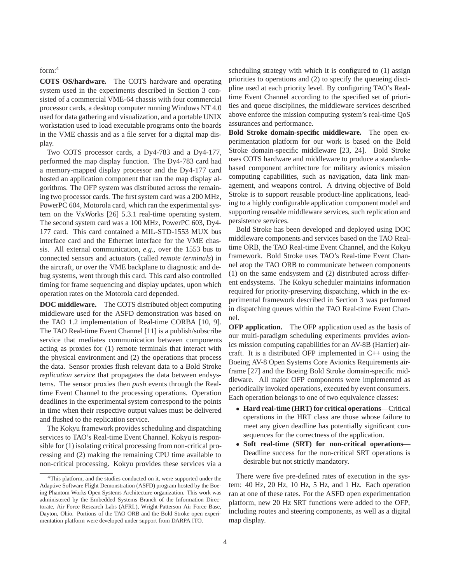#### form:4

**COTS OS/hardware.** The COTS hardware and operating system used in the experiments described in Section 3 consisted of a commercial VME-64 chassis with four commercial processor cards, a desktop computer running Windows NT 4.0 used for data gathering and visualization, and a portable UNIX workstation used to load executable programs onto the boards in the VME chassis and as a file server for a digital map display.

Two COTS processor cards, a Dy4-783 and a Dy4-177, performed the map display function. The Dy4-783 card had a memory-mapped display processor and the Dy4-177 card hosted an application component that ran the map display algorithms. The OFP system was distributed across the remaining two processor cards. The first system card was a 200 MHz, PowerPC 604, Motorola card, which ran the experimental system on the VxWorks [26] 5.3.1 real-time operating system. The second system card was a 100 MHz, PowerPC 603, Dy4- 177 card. This card contained a MIL-STD-1553 MUX bus interface card and the Ethernet interface for the VME chassis. All external communication, *e.g.*, over the 1553 bus to connected sensors and actuators (called *remote terminals*) in the aircraft, or over the VME backplane to diagnostic and debug systems, went through this card. This card also controlled timing for frame sequencing and display updates, upon which operation rates on the Motorola card depended.

**DOC middleware.** The COTS distributed object computing middleware used for the ASFD demonstration was based on the TAO 1.2 implementation of Real-time CORBA [10, 9]. The TAO Real-time Event Channel [11] is a publish/subscribe service that mediates communication between components acting as proxies for (1) remote terminals that interact with the physical environment and (2) the operations that process the data. Sensor proxies flush relevant data to a Bold Stroke *replication service* that propagates the data between endsystems. The sensor proxies then *push* events through the Realtime Event Channel to the processing operations. Operation deadlines in the experimental system correspond to the points in time when their respective output values must be delivered and flushed to the replication service.

The Kokyu framework provides scheduling and dispatching services to TAO's Real-time Event Channel. Kokyu is responsible for (1) isolating critical processing from non-critical processing and (2) making the remaining CPU time available to non-critical processing. Kokyu provides these services via a scheduling strategy with which it is configured to (1) assign priorities to operations and (2) to specify the queueing discipline used at each priority level. By configuring TAO's Realtime Event Channel according to the specified set of priorities and queue disciplines, the middleware services described above enforce the mission computing system's real-time QoS assurances and performance.

**Bold Stroke domain-specific middleware.** The open experimentation platform for our work is based on the Bold Stroke domain-specific middleware [23, 24]. Bold Stroke uses COTS hardware and middleware to produce a standardsbased component architecture for military avionics mission computing capabilities, such as navigation, data link management, and weapons control. A driving objective of Bold Stroke is to support reusable product-line applications, leading to a highly configurable application component model and supporting reusable middleware services, such replication and persistence services.

Bold Stroke has been developed and deployed using DOC middleware components and services based on the TAO Realtime ORB, the TAO Real-time Event Channel, and the Kokyu framework. Bold Stroke uses TAO's Real-time Event Channel atop the TAO ORB to communicate between components (1) on the same endsystem and (2) distributed across different endsystems. The Kokyu scheduler maintains information required for priority-preserving dispatching, which in the experimental framework described in Section 3 was performed in dispatching queues within the TAO Real-time Event Channel.

**OFP application.** The OFP application used as the basis of our multi-paradigm scheduling experiments provides avionics mission computing capabilities for an AV-8B (Harrier) aircraft. It is a distributed OFP implemented in C++ using the Boeing AV-8 Open Systems Core Avionics Requirements airframe [27] and the Boeing Bold Stroke domain-specific middleware. All major OFP components were implemented as periodically invoked operations, executed by event consumers. Each operation belongs to one of two equivalence classes:

- **Hard real-time (HRT) for critical operations**—Critical operations in the HRT class are those whose failure to meet any given deadline has potentially significant consequences for the correctness of the application.
- **Soft real-time (SRT) for non-critical operations** Deadline success for the non-critical SRT operations is desirable but not strictly mandatory.

There were five pre-defined rates of execution in the system: 40 Hz, 20 Hz, 10 Hz, 5 Hz, and 1 Hz. Each operation ran at one of these rates. For the ASFD open experimentation platform, new 20 Hz SRT functions were added to the OFP, including routes and steering components, as well as a digital map display.

<sup>&</sup>lt;sup>4</sup>This platform, and the studies conducted on it, were supported under the Adaptive Software Flight Demonstration (ASFD) program hosted by the Boeing Phantom Works Open Systems Architecture organization. This work was administered by the Embedded Systems Branch of the Information Directorate, Air Force Research Labs (AFRL), Wright-Patterson Air Force Base, Dayton, Ohio. Portions of the TAO ORB and the Bold Stroke open experimentation platform were developed under support from DARPA ITO.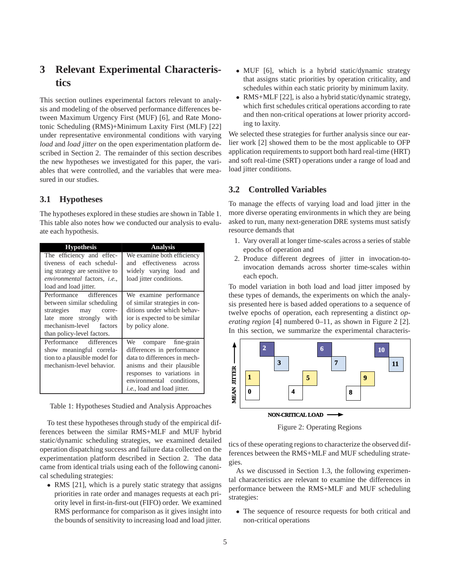# **3 Relevant Experimental Characteristics**

This section outlines experimental factors relevant to analysis and modeling of the observed performance differences between Maximum Urgency First (MUF) [6], and Rate Monotonic Scheduling (RMS)+Minimum Laxity First (MLF) [22] under representative environmental conditions with varying *load* and *load jitter* on the open experimentation platform described in Section 2. The remainder of this section describes the new hypotheses we investigated for this paper, the variables that were controlled, and the variables that were measured in our studies.

#### **3.1 Hypotheses**

The hypotheses explored in these studies are shown in Table 1. This table also notes how we conducted our analysis to evaluate each hypothesis.

| <b>Hypothesis</b>                    | <b>Analysis</b>                     |
|--------------------------------------|-------------------------------------|
| The efficiency and effec-            | We examine both efficiency          |
| tiveness of each schedul-            | and effectiveness<br>across         |
| ing strategy are sensitive to        | widely varying load and             |
| environmental factors, <i>i.e.</i> , | load jitter conditions.             |
| load and load jitter.                |                                     |
| Performance differences              | We examine performance              |
| between similar scheduling           | of similar strategies in con-       |
| strategies<br>may<br>corre-          | ditions under which behav-          |
| late more strongly with              | ior is expected to be similar       |
| mechanism-level factors              | by policy alone.                    |
| than policy-level factors.           |                                     |
| Performance differences              | We compare fine-grain               |
| show meaningful correla-             | differences in performance          |
| tion to a plausible model for        | data to differences in mech-        |
| mechanism-level behavior.            | anisms and their plausible          |
|                                      | responses to variations in          |
|                                      | environmental conditions,           |
|                                      | <i>i.e.</i> , load and load jitter. |

Table 1: Hypotheses Studied and Analysis Approaches

To test these hypotheses through study of the empirical differences between the similar RMS+MLF and MUF hybrid static/dynamic scheduling strategies, we examined detailed operation dispatching success and failure data collected on the experimentation platform described in Section 2. The data came from identical trials using each of the following canonical scheduling strategies:

• RMS [21], which is a purely static strategy that assigns priorities in rate order and manages requests at each priority level in first-in-first-out (FIFO) order. We examined RMS performance for comparison as it gives insight into the bounds of sensitivity to increasing load and load jitter.

- MUF [6], which is a hybrid static/dynamic strategy that assigns static priorities by operation criticality, and schedules within each static priority by minimum laxity.
- RMS+MLF [22], is also a hybrid static/dynamic strategy, which first schedules critical operations according to rate and then non-critical operations at lower priority according to laxity.

We selected these strategies for further analysis since our earlier work [2] showed them to be the most applicable to OFP application requirements to support both hard real-time (HRT) and soft real-time (SRT) operations under a range of load and load jitter conditions.

### **3.2 Controlled Variables**

To manage the effects of varying load and load jitter in the more diverse operating environments in which they are being asked to run, many next-generation DRE systems must satisfy resource demands that

- 1. Vary overall at longer time-scales across a series of stable epochs of operation and
- 2. Produce different degrees of jitter in invocation-toinvocation demands across shorter time-scales within each epoch.

To model variation in both load and load jitter imposed by these types of demands, the experiments on which the analysis presented here is based added operations to a sequence of twelve epochs of operation, each representing a distinct *operating region* [4] numbered 0–11, as shown in Figure 2 [2]. In this section, we summarize the experimental characteris-



Figure 2: Operating Regions

tics of these operating regions to characterize the observed differences between the RMS+MLF and MUF scheduling strategies.

As we discussed in Section 1.3, the following experimental characteristics are relevant to examine the differences in performance between the RMS+MLF and MUF scheduling strategies:

 The sequence of resource requests for both critical and non-critical operations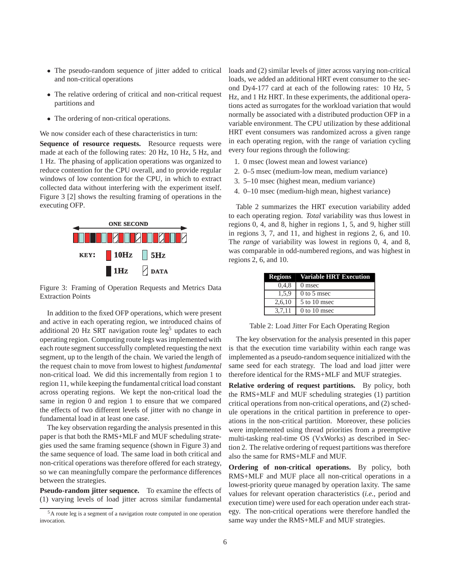- The pseudo-random sequence of jitter added to critical and non-critical operations
- The relative ordering of critical and non-critical request partitions and
- The ordering of non-critical operations.

We now consider each of these characteristics in turn:

**Sequence of resource requests.** Resource requests were made at each of the following rates: 20 Hz, 10 Hz, 5 Hz, and 1 Hz. The phasing of application operations was organized to reduce contention for the CPU overall, and to provide regular windows of low contention for the CPU, in which to extract collected data without interfering with the experiment itself. Figure 3 [2] shows the resulting framing of operations in the executing OFP.



Figure 3: Framing of Operation Requests and Metrics Data Extraction Points

In addition to the fixed OFP operations, which were present and active in each operating region, we introduced chains of additional 20 Hz SRT navigation route  $leg<sup>5</sup>$  updates to each operating region. Computing route legs was implemented with each route segment successfully completed requesting the next segment, up to the length of the chain. We varied the length of the request chain to move from lowest to highest *fundamental* non-critical load. We did this incrementally from region 1 to region 11, while keeping the fundamental critical load constant across operating regions. We kept the non-critical load the same in region 0 and region 1 to ensure that we compared the effects of two different levels of jitter with no change in fundamental load in at least one case.

The key observation regarding the analysis presented in this paper is that both the RMS+MLF and MUF scheduling strategies used the same framing sequence (shown in Figure 3) and the same sequence of load. The same load in both critical and non-critical operations was therefore offered for each strategy, so we can meaningfully compare the performance differences between the strategies.

**Pseudo-random jitter sequence.** To examine the effects of (1) varying levels of load jitter across similar fundamental loads and (2) similar levels of jitter across varying non-critical loads, we added an additional HRT event consumer to the second Dy4-177 card at each of the following rates: 10 Hz, 5 Hz, and 1 Hz HRT. In these experiments, the additional operations acted as surrogates for the workload variation that would normally be associated with a distributed production OFP in a variable environment. The CPU utilization by these additional HRT event consumers was randomized across a given range in each operating region, with the range of variation cycling every four regions through the following:

- 1. 0 msec (lowest mean and lowest variance)
- 2. 0–5 msec (medium-low mean, medium variance)
- 3. 5–10 msec (highest mean, medium variance)
- 4. 0–10 msec (medium-high mean, highest variance)

Table 2 summarizes the HRT execution variability added to each operating region. *Total* variability was thus lowest in regions 0, 4, and 8, higher in regions 1, 5, and 9, higher still in regions 3, 7, and 11, and highest in regions 2, 6, and 10. The *range* of variability was lowest in regions 0, 4, and 8, was comparable in odd-numbered regions, and was highest in regions 2, 6, and 10.

| <b>Regions</b> | <b>Variable HRT Execution</b> |
|----------------|-------------------------------|
| 0.4.8          | 0 msec                        |
| 1,5,9          | $0$ to 5 msec                 |
| 2,6,10         | 5 to 10 msec                  |
| 3,7,11         | $0$ to 10 msec                |

Table 2: Load Jitter For Each Operating Region

The key observation for the analysis presented in this paper is that the execution time variability within each range was implemented as a pseudo-random sequence initialized with the same seed for each strategy. The load and load jitter were therefore identical for the RMS+MLF and MUF strategies.

**Relative ordering of request partitions.** By policy, both the RMS+MLF and MUF scheduling strategies (1) partition critical operations from non-critical operations, and (2) schedule operations in the critical partition in preference to operations in the non-critical partition. Moreover, these policies were implemented using thread priorities from a preemptive multi-tasking real-time OS (VxWorks) as described in Section 2. The relative ordering of request partitions was therefore also the same for RMS+MLF and MUF.

**Ordering of non-critical operations.** By policy, both RMS+MLF and MUF place all non-critical operations in a lowest-priority queue managed by operation laxity. The same values for relevant operation characteristics (*i.e.*, period and execution time) were used for each operation under each strategy. The non-critical operations were therefore handled the same way under the RMS+MLF and MUF strategies.

<sup>5</sup>A route leg is a segment of a navigation route computed in one operation invocation.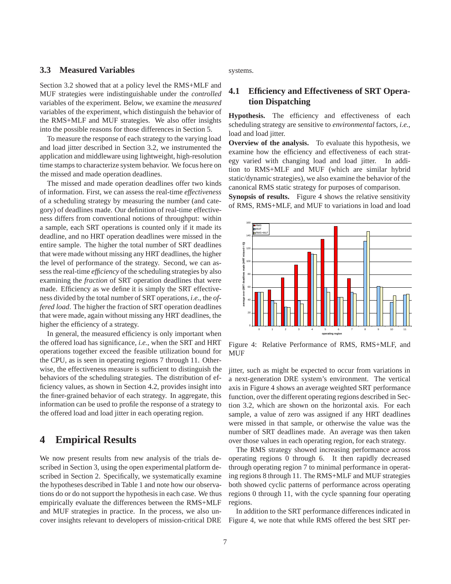#### **3.3 Measured Variables**

Section 3.2 showed that at a policy level the RMS+MLF and MUF strategies were indistinguishable under the *controlled* variables of the experiment. Below, we examine the *measured* variables of the experiment, which distinguish the behavior of the RMS+MLF and MUF strategies. We also offer insights into the possible reasons for those differences in Section 5.

To measure the response of each strategy to the varying load and load jitter described in Section 3.2, we instrumented the application and middleware using lightweight, high-resolution time stamps to characterize system behavior. We focus here on the missed and made operation deadlines.

The missed and made operation deadlines offer two kinds of information. First, we can assess the real-time *effectiveness* of a scheduling strategy by measuring the number (and category) of deadlines made. Our definition of real-time effectiveness differs from conventional notions of throughput: within a sample, each SRT operations is counted only if it made its deadline, and no HRT operation deadlines were missed in the entire sample. The higher the total number of SRT deadlines that were made without missing any HRT deadlines, the higher the level of performance of the strategy. Second, we can assess the real-time *efficiency* of the scheduling strategies by also examining the *fraction* of SRT operation deadlines that were made. Efficiency as we define it is simply the SRT effectiveness divided by the total number of SRT operations, *i.e.*, the *offered load*. The higher the fraction of SRT operation deadlines that were made, again without missing any HRT deadlines, the higher the efficiency of a strategy.

In general, the measured efficiency is only important when the offered load has significance, *i.e.*, when the SRT and HRT operations together exceed the feasible utilization bound for the CPU, as is seen in operating regions 7 through 11. Otherwise, the effectiveness measure is sufficient to distinguish the behaviors of the scheduling strategies. The distribution of efficiency values, as shown in Section 4.2, provides insight into the finer-grained behavior of each strategy. In aggregate, this information can be used to profile the response of a strategy to the offered load and load jitter in each operating region.

## **4 Empirical Results**

We now present results from new analysis of the trials described in Section 3, using the open experimental platform described in Section 2. Specifically, we systematically examine the hypotheses described in Table 1 and note how our observations do or do not support the hypothesis in each case. We thus empirically evaluate the differences between the RMS+MLF and MUF strategies in practice. In the process, we also uncover insights relevant to developers of mission-critical DRE systems.

#### **4.1 Efficiency and Effectiveness of SRT Operation Dispatching**

**Hypothesis.** The efficiency and effectiveness of each scheduling strategy are sensitive to *environmental* factors, *i.e.*, load and load jitter.

**Overview of the analysis.** To evaluate this hypothesis, we examine how the efficiency and effectiveness of each strategy varied with changing load and load jitter. In addition to RMS+MLF and MUF (which are similar hybrid static/dynamic strategies), we also examine the behavior of the canonical RMS static strategy for purposes of comparison.

**Synopsis of results.** Figure 4 shows the relative sensitivity of RMS, RMS+MLF, and MUF to variations in load and load



Figure 4: Relative Performance of RMS, RMS+MLF, and MUF

jitter, such as might be expected to occur from variations in a next-generation DRE system's environment. The vertical axis in Figure 4 shows an average weighted SRT performance function, over the different operating regions described in Section 3.2, which are shown on the horizontal axis. For each sample, a value of zero was assigned if any HRT deadlines were missed in that sample, or otherwise the value was the number of SRT deadlines made. An average was then taken over those values in each operating region, for each strategy.

The RMS strategy showed increasing performance across operating regions 0 through 6. It then rapidly decreased through operating region 7 to minimal performance in operating regions 8 through 11. The RMS+MLF and MUF strategies both showed cyclic patterns of performance across operating regions 0 through 11, with the cycle spanning four operating regions.

In addition to the SRT performance differences indicated in Figure 4, we note that while RMS offered the best SRT per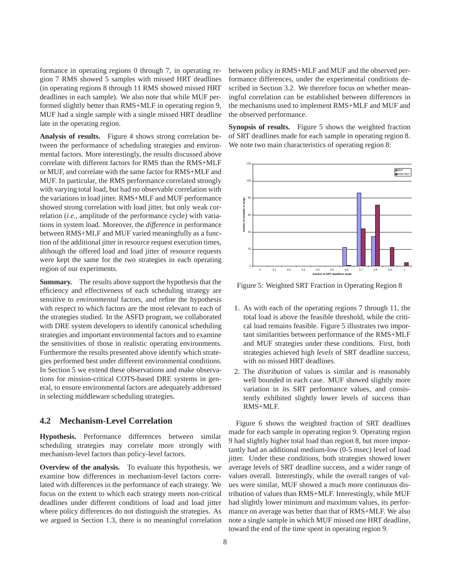formance in operating regions 0 through 7, in operating region 7 RMS showed 5 samples with missed HRT deadlines (in operating regions 8 through 11 RMS showed missed HRT deadlines in each sample). We also note that while MUF performed slightly better than RMS+MLF in operating region 9, MUF had a single sample with a single missed HRT deadline late in the operating region.

**Analysis of results.** Figure 4 shows strong correlation between the performance of scheduling strategies and environmental factors. More interestingly, the results discussed above correlate with different factors for RMS than the RMS+MLF or MUF, and correlate with the same factor for RMS+MLF and MUF. In particular, the RMS performance correlated strongly with varying total load, but had no observable correlation with the variations in load jitter. RMS+MLF and MUF performance showed strong correlation with load jitter, but only weak correlation (*i.e.*, amplitude of the performance cycle) with variations in system load. Moreover, the *difference* in performance between RMS+MLF and MUF varied meaningfully as a function of the additional jitter in resource request execution times, although the offered load and load jitter of resource requests were kept the same for the two strategies in each operating region of our experiments.

**Summary.** The results above support the hypothesis that the efficiency and effectiveness of each scheduling strategy are sensitive to *environmental* factors, and refine the hypothesis with respect to which factors are the most relevant to each of the strategies studied. In the ASFD program, we collaborated with DRE system developers to identify canonical scheduling strategies and important environmental factors and to examine the sensitivities of those in realistic operating environments. Furthermore the results presented above identify which strategies performed best under different environmental conditions. In Section 5 we extend these observations and make observations for mission-critical COTS-based DRE systems in general, to ensure environmental factors are adequately addressed in selecting middleware scheduling strategies.

#### **4.2 Mechanism-Level Correlation**

**Hypothesis.** Performance differences between similar scheduling strategies may correlate more strongly with mechanism-level factors than policy-level factors.

**Overview of the analysis.** To evaluate this hypothesis, we examine how differences in mechanism-level factors correlated with differences in the performance of each strategy. We focus on the extent to which each strategy meets non-critical deadlines under different conditions of load and load jitter where policy differences do not distinguish the strategies. As we argued in Section 1.3, there is no meaningful correlation

between policy in RMS+MLF and MUF and the observed performance differences, under the experimental conditions described in Section 3.2. We therefore focus on whether meaningful correlation can be established between differences in the mechanisms used to implement RMS+MLF and MUF and the observed performance.

**Synopsis of results.** Figure 5 shows the weighted fraction of SRT deadlines made for each sample in operating region 8. We note two main characteristics of operating region 8:



Figure 5: Weighted SRT Fraction in Operating Region 8

- 1. As with each of the operating regions 7 through 11, the total load is above the feasible threshold, while the critical load remains feasible. Figure 5 illustrates two important similarities between performance of the RMS+MLF and MUF strategies under these conditions. First, both strategies achieved high *levels* of SRT deadline success, with no missed HRT deadlines.
- 2. The *distribution* of values is similar and is reasonably well bounded in each case. MUF showed slightly more variation in its SRT performance values, and consistently exhibited slightly lower levels of success than RMS+MLF.

Figure 6 shows the weighted fraction of SRT deadlines made for each sample in operating region 9. Operating region 9 had slightly higher total load than region 8, but more importantly had an additional medium-low (0-5 msec) level of load jitter. Under these conditions, both strategies showed lower average levels of SRT deadline success, and a wider range of values overall. Interestingly, while the overall ranges of values were similar, MUF showed a much more continuous distribution of values than RMS+MLF. Interestingly, while MUF had slightly lower minimum and maximum values, its performance on average was better than that of RMS+MLF. We also note a single sample in which MUF missed one HRT deadline, toward the end of the time spent in operating region 9.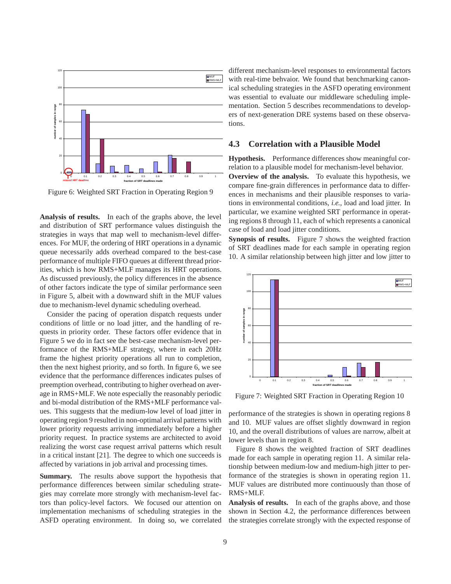

Figure 6: Weighted SRT Fraction in Operating Region 9

**Analysis of results.** In each of the graphs above, the level and distribution of SRT performance values distinguish the strategies in ways that map well to mechanism-level differences. For MUF, the ordering of HRT operations in a dynamic queue necessarily adds overhead compared to the best-case performance of multiple FIFO queues at different thread priorities, which is how RMS+MLF manages its HRT operations. As discussed previously, the policy differences in the absence of other factors indicate the type of similar performance seen in Figure 5, albeit with a downward shift in the MUF values due to mechanism-level dynamic scheduling overhead.

Consider the pacing of operation dispatch requests under conditions of little or no load jitter, and the handling of requests in priority order. These factors offer evidence that in Figure 5 we do in fact see the best-case mechanism-level performance of the RMS+MLF strategy, where in each 20Hz frame the highest priority operations all run to completion, then the next highest priority, and so forth. In figure 6, we see evidence that the performance differences indicates pulses of preemption overhead, contributing to higher overhead on average in RMS+MLF. We note especially the reasonably periodic and bi-modal distribution of the RMS+MLF performance values. This suggests that the medium-low level of load jitter in operating region 9 resulted in non-optimal arrival patterns with lower priority requests arriving immediately before a higher priority request. In practice systems are architected to avoid realizing the worst case request arrival patterns which result in a critical instant [21]. The degree to which one succeeds is affected by variations in job arrival and processing times.

**Summary.** The results above support the hypothesis that performance differences between similar scheduling strategies may correlate more strongly with mechanism-level factors than policy-level factors. We focused our attention on implementation mechanisms of scheduling strategies in the ASFD operating environment. In doing so, we correlated different mechanism-level responses to environmental factors with real-time behvaior. We found that benchmarking canonical scheduling strategies in the ASFD operating environment was essential to evaluate our middleware scheduling implementation. Section 5 describes recommendations to developers of next-generation DRE systems based on these observations.

#### **4.3 Correlation with a Plausible Model**

**Hypothesis.** Performance differences show meaningful correlation to a plausible model for mechanism-level behavior. **Overview of the analysis.** To evaluate this hypothesis, we compare fine-grain differences in performance data to differences in mechanisms and their plausible responses to variations in environmental conditions, *i.e.*, load and load jitter. In particular, we examine weighted SRT performance in operating regions 8 through 11, each of which represents a canonical case of load and load jitter conditions.

**Synopsis of results.** Figure 7 shows the weighted fraction of SRT deadlines made for each sample in operating region 10. A similar relationship between high jitter and low jitter to



Figure 7: Weighted SRT Fraction in Operating Region 10

performance of the strategies is shown in operating regions 8 and 10. MUF values are offset slightly downward in region 10, and the overall distributions of values are narrow, albeit at lower levels than in region 8.

Figure 8 shows the weighted fraction of SRT deadlines made for each sample in operating region 11. A similar relationship between medium-low and medium-high jitter to performance of the strategies is shown in operating region 11. MUF values are distributed more continuously than those of RMS+MLF.

**Analysis of results.** In each of the graphs above, and those shown in Section 4.2, the performance differences between the strategies correlate strongly with the expected response of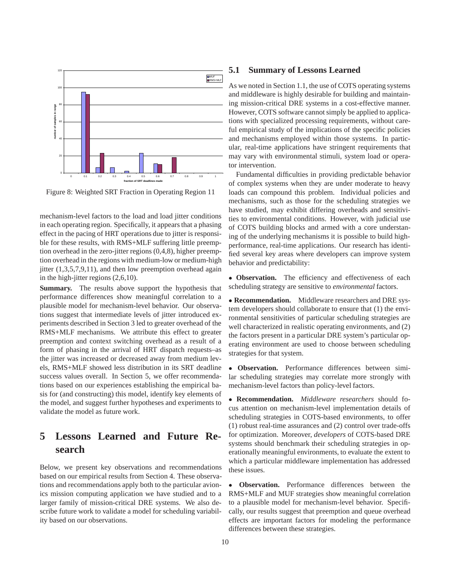

Figure 8: Weighted SRT Fraction in Operating Region 11

mechanism-level factors to the load and load jitter conditions in each operating region. Specifically, it appears that a phasing effect in the pacing of HRT operations due to jitter is responsible for these results, with RMS+MLF suffering little preemption overhead in the zero-jitter regions (0,4,8), higher preemption overhead in the regions with medium-low or medium-high jitter  $(1,3,5,7,9,11)$ , and then low preemption overhead again in the high-jitter regions (2,6,10).

**Summary.** The results above support the hypothesis that performance differences show meaningful correlation to a plausible model for mechanism-level behavior. Our observations suggest that intermediate levels of jitter introduced experiments described in Section 3 led to greater overhead of the RMS+MLF mechanisms. We attribute this effect to greater preemption and context switching overhead as a result of a form of phasing in the arrival of HRT dispatch requests–as the jitter was increased or decreased away from medium levels, RMS+MLF showed less distribution in its SRT deadline success values overall. In Section 5, we offer recommendations based on our experiences establishing the empirical basis for (and constructing) this model, identify key elements of the model, and suggest further hypotheses and experiments to validate the model as future work.

# **5 Lessons Learned and Future Research**

Below, we present key observations and recommendations based on our empirical results from Section 4. These observations and recommendations apply both to the particular avionics mission computing application we have studied and to a larger family of mission-critical DRE systems. We also describe future work to validate a model for scheduling variability based on our observations.

#### **5.1 Summary of Lessons Learned**

As we noted in Section 1.1, the use of COTS operating systems and middleware is highly desirable for building and maintaining mission-critical DRE systems in a cost-effective manner. However, COTS software cannot simply be applied to applications with specialized processing requirements, without careful empirical study of the implications of the specific policies and mechanisms employed within those systems. In particular, real-time applications have stringent requirements that may vary with environmental stimuli, system load or operator intervention.

Fundamental difficulties in providing predictable behavior of complex systems when they are under moderate to heavy loads can compound this problem. Individual policies and mechanisms, such as those for the scheduling strategies we have studied, may exhibit differing overheads and sensitivities to environmental conditions. However, with judicial use of COTS building blocks and armed with a core understaning of the underlying mechanisms it is possible to build highperformance, real-time applications. Our research has identified several key areas where developers can improve system behavior and predictability:

 **Observation.** The efficiency and effectiveness of each scheduling strategy are sensitive to *environmental* factors.

 **Recommendation.** Middleware researchers and DRE system developers should collaborate to ensure that (1) the environmental sensitivities of particular scheduling strategies are well characterized in realistic operating environments, and (2) the factors present in a particular DRE system's particular operating environment are used to choose between scheduling strategies for that system.

 **Observation.** Performance differences between similar scheduling strategies may correlate more strongly with mechanism-level factors than policy-level factors.

 **Recommendation.** *Middleware researchers* should focus attention on mechanism-level implementation details of scheduling strategies in COTS-based environments, to offer (1) robust real-time assurances and (2) control over trade-offs for optimization. Moreover, *developers* of COTS-based DRE systems should benchmark their scheduling strategies in operationally meaningful environments, to evaluate the extent to which a particular middleware implementation has addressed these issues.

 **Observation.** Performance differences between the RMS+MLF and MUF strategies show meaningful correlation to a plausible model for mechanism-level behavior. Specifically, our results suggest that preemption and queue overhead effects are important factors for modeling the performance differences between these strategies.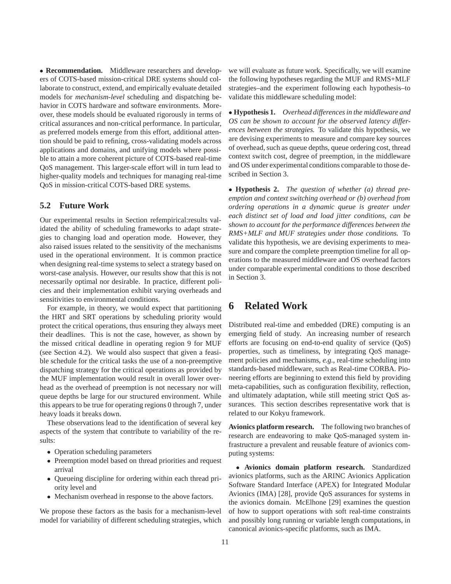**Recommendation.** Middleware researchers and developers of COTS-based mission-critical DRE systems should collaborate to construct, extend, and empirically evaluate detailed models for *mechanism-level* scheduling and dispatching behavior in COTS hardware and software environments. Moreover, these models should be evaluated rigorously in terms of critical assurances and non-critical performance. In particular, as preferred models emerge from this effort, additional attention should be paid to refining, cross-validating models across applications and domains, and unifying models where possible to attain a more coherent picture of COTS-based real-time QoS management. This larger-scale effort will in turn lead to higher-quality models and techniques for managing real-time QoS in mission-critical COTS-based DRE systems.

#### **5.2 Future Work**

Our experimental results in Section refempirical:results validated the ability of scheduling frameworks to adapt strategies to changing load and operation mode. However, they also raised issues related to the sensitivity of the mechanisms used in the operational environment. It is common practice when designing real-time systems to select a strategy based on worst-case analysis. However, our results show that this is not necessarily optimal nor desirable. In practice, different policies and their implementation exhibit varying overheads and sensitivities to environmental conditions.

For example, in theory, we would expect that partitioning the HRT and SRT operations by scheduling priority would protect the critical operations, thus ensuring they always meet their deadlines. This is not the case, however, as shown by the missed critical deadline in operating region 9 for MUF (see Section 4.2). We would also suspect that given a feasible schedule for the critical tasks the use of a non-preemptive dispatching strategy for the critical operations as provided by the MUF implementation would result in overall lower overhead as the overhead of preemption is not necessary nor will queue depths be large for our structured environment. While this appears to be true for operating regions 0 through 7, under heavy loads it breaks down.

These observations lead to the identification of several key aspects of the system that contribute to variability of the results:

- Operation scheduling parameters
- Preemption model based on thread priorities and request arrival
- Queueing discipline for ordering within each thread priority level and
- Mechanism overhead in response to the above factors.

We propose these factors as the basis for a mechanism-level model for variability of different scheduling strategies, which we will evaluate as future work. Specifically, we will examine the following hypotheses regarding the MUF and RMS+MLF strategies–and the experiment following each hypothesis–to validate this middleware scheduling model:

 **Hypothesis 1.** *Overhead differences in the middleware and OS can be shown to account for the observed latency differences between the strategies.* To validate this hypothesis, we are devising experiments to measure and compare key sources of overhead, such as queue depths, queue ordering cost, thread context switch cost, degree of preemption, in the middleware and OS under experimental conditions comparable to those described in Section 3.

 **Hypothesis 2.** *The question of whether (a) thread preemption and context switching overhead or (b) overhead from ordering operations in a dynamic queue is greater under each distinct set of load and load jitter conditions, can be shown to account for the performance differences between the RMS+MLF and MUF strategies under those conditions.* To validate this hypothesis, we are devising experiments to measure and compare the complete preemption timeline for all operations to the measured middleware and OS overhead factors under comparable experimental conditions to those described in Section 3.

# **6 Related Work**

Distributed real-time and embedded (DRE) computing is an emerging field of study. An increasing number of research efforts are focusing on end-to-end quality of service (QoS) properties, such as timeliness, by integrating QoS management policies and mechanisms, *e.g.*, real-time scheduling into standards-based middleware, such as Real-time CORBA. Pioneering efforts are beginning to extend this field by providing meta-capabilities, such as configuration flexibility, reflection, and ultimately adaptation, while still meeting strict QoS assurances. This section describes representative work that is related to our Kokyu framework.

**Avionics platform research.** The following two branches of research are endeavoring to make QoS-managed system infrastructure a prevalent and reusable feature of avionics computing systems:

 **Avionics domain platform research.** Standardized avionics platforms, such as the ARINC Avionics Application Software Standard Interface (APEX) for Integrated Modular Avionics (IMA) [28], provide QoS assurances for systems in the avionics domain. McElhone [29] examines the question of how to support operations with soft real-time constraints and possibly long running or variable length computations, in canonical avionics-specific platforms, such as IMA.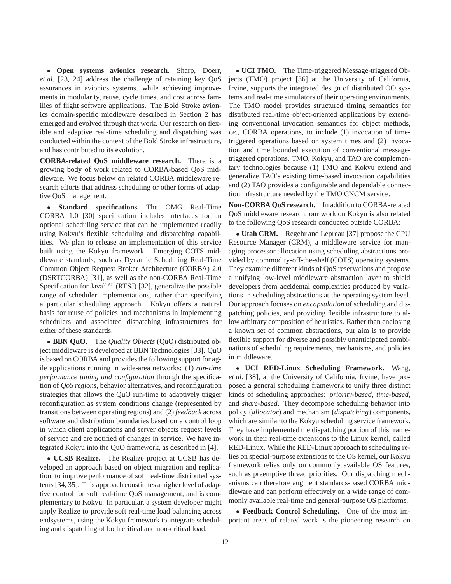**Open systems avionics research.** Sharp, Doerr, *et al.* [23, 24] address the challenge of retaining key QoS assurances in avionics systems, while achieving improvements in modularity, reuse, cycle times, and cost across families of flight software applications. The Bold Stroke avionics domain-specific middleware described in Section 2 has emerged and evolved through that work. Our research on flexible and adaptive real-time scheduling and dispatching was conducted within the context of the Bold Stroke infrastructure, and has contributed to its evolution.

**CORBA-related QoS middleware research.** There is a growing body of work related to CORBA-based QoS middleware. We focus below on related CORBA middleware research efforts that address scheduling or other forms of adaptive QoS management.

 **Standard specifications.** The OMG Real-Time CORBA 1.0 [30] specification includes interfaces for an optional scheduling service that can be implemented readily using Kokyu's flexible scheduling and dispatching capabilities. We plan to release an implementation of this service built using the Kokyu framework. Emerging COTS middleware standards, such as Dynamic Scheduling Real-Time Common Object Request Broker Architecture (CORBA) 2.0 (DSRTCORBA) [31], as well as the non-CORBA Real-Time Specification for Java<sup>TM</sup> (RTSJ) [32], generalize the possible range of scheduler implementations, rather than specifying a particular scheduling approach. Kokyu offers a natural basis for reuse of policies and mechanisms in implementing schedulers and associated dispatching infrastructures for either of these standards.

 **BBN QuO.** The *Quality Objects* (QuO) distributed object middleware is developed at BBN Technologies [33]. QuO is based on CORBA and provides the following support for agile applications running in wide-area networks: (1) *run-time performance tuning and configuration* through the specification of *QoS regions*, behavior alternatives, and reconfiguration strategies that allows the QuO run-time to adaptively trigger reconfiguration as system conditions change (represented by transitions between operating regions) and (2) *feedback* across software and distribution boundaries based on a control loop in which client applications and server objects request levels of service and are notified of changes in service. We have integrated Kokyu into the QuO framework, as described in [4].

 **UCSB Realize.** The Realize project at UCSB has developed an approach based on object migration and replication, to improve performance of soft real-time distributed systems [34, 35]. This approach constitutes a higher level of adaptive control for soft real-time QoS management, and is complementary to Kokyu. In particular, a system developer might apply Realize to provide soft real-time load balancing across endsystems, using the Kokyu framework to integrate scheduling and dispatching of both critical and non-critical load.

 **UCI TMO.** The Time-triggered Message-triggered Objects (TMO) project [36] at the University of California, Irvine, supports the integrated design of distributed OO systems and real-time simulators of their operating environments. The TMO model provides structured timing semantics for distributed real-time object-oriented applications by extending conventional invocation semantics for object methods, *i.e.*, CORBA operations, to include (1) invocation of timetriggered operations based on system times and (2) invocation and time bounded execution of conventional messagetriggered operations. TMO, Kokyu, and TAO are complementary technologies because (1) TMO and Kokyu extend and generalize TAO's existing time-based invocation capabilities and (2) TAO provides a configurable and dependable connection infrastructure needed by the TMO CNCM service.

**Non-CORBA QoS research.** In addition to CORBA-related QoS middleware research, our work on Kokyu is also related to the following QoS research conducted outside CORBA:

 **Utah CRM.** Regehr and Lepreau [37] propose the CPU Resource Manager (CRM), a middleware service for managing processor allocation using scheduling abstractions provided by commodity-off-the-shelf (COTS) operating systems. They examine different kinds of QoS reservations and propose a unifying low-level middleware abstraction layer to shield developers from accidental complexities produced by variations in scheduling abstractions at the operating system level. Our approach focuses on *encapsulation* of scheduling and dispatching policies, and providing flexible infrastructure to allow arbitrary composition of heuristics. Rather than enclosing a known set of common abstractions, our aim is to provide flexible support for diverse and possibly unanticipated combinations of scheduling requirements, mechanisms, and policies in middleware.

 **UCI RED-Linux Scheduling Framework.** Wang, *et al.* [38], at the University of California, Irvine, have proposed a general scheduling framework to unify three distinct kinds of scheduling approaches: *priority-based*, *time-based*, and *share-based*. They decompose scheduling behavior into policy (*allocator*) and mechanism (*dispatching*) components, which are similar to the Kokyu scheduling service framework. They have implemented the dispatching portion of this framework in their real-time extensions to the Linux kernel, called RED-Linux. While the RED-Linux approach to scheduling relies on special-purpose extensions to the OS kernel, our Kokyu framework relies only on commonly available OS features, such as preemptive thread priorities. Our dispatching mechanisms can therefore augment standards-based CORBA middleware and can perform effectively on a wide range of commonly available real-time and general-purpose OS platforms.

 **Feedback Control Scheduling.** One of the most important areas of related work is the pioneering research on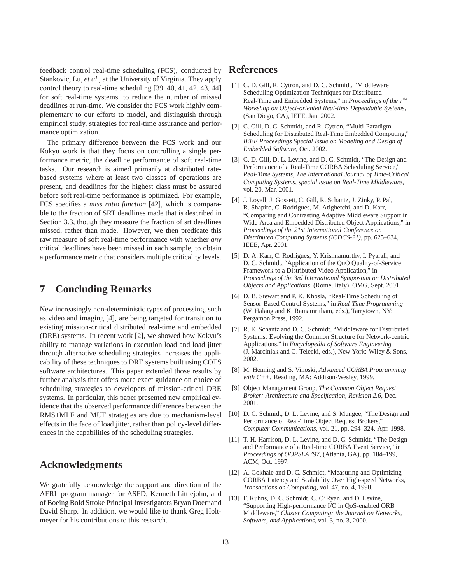feedback control real-time scheduling (FCS), conducted by Stankovic, Lu, *et al.*, at the University of Virginia. They apply control theory to real-time scheduling [39, 40, 41, 42, 43, 44] for soft real-time systems, to reduce the number of missed deadlines at run-time. We consider the FCS work highly complementary to our efforts to model, and distinguish through empirical study, strategies for real-time assurance and performance optimization.

The primary difference between the FCS work and our Kokyu work is that they focus on controlling a single performance metric, the deadline performance of soft real-time tasks. Our research is aimed primarily at distributed ratebased systems where at least two classes of operations are present, and deadlines for the highest class must be assured before soft real-time performance is optimized. For example, FCS specifies a *miss ratio function* [42], which is comparable to the fraction of SRT deadlines made that is described in Section 3.3, though they measure the fraction of srt deadlines missed, rather than made. However, we then predicate this raw measure of soft real-time performance with whether *any* critical deadlines have been missed in each sample, to obtain a performance metric that considers multiple criticality levels.

## **7 Concluding Remarks**

New increasingly non-deterministic types of processing, such as video and imaging [4], are being targeted for transition to existing mission-critical distributed real-time and embedded (DRE) systems. In recent work [2], we showed how Kokyu's ability to manage variations in execution load and load jitter through alternative scheduling strategies increases the applicability of these techniques to DRE systems built using COTS software architectures. This paper extended those results by further analysis that offers more exact guidance on choice of scheduling strategies to developers of mission-critical DRE systems. In particular, this paper presented new empirical evidence that the observed performance differences between the RMS+MLF and MUF strategies are due to mechanism-level effects in the face of load jitter, rather than policy-level differences in the capabilities of the scheduling strategies.

## **Acknowledgments**

We gratefully acknowledge the support and direction of the AFRL program manager for ASFD, Kenneth Littlejohn, and of Boeing Bold Stroke Principal Investigators Bryan Doerr and David Sharp. In addition, we would like to thank Greg Holtmeyer for his contributions to this research.

## **References**

- [1] C. D. Gill, R. Cytron, and D. C. Schmidt, "Middleware Scheduling Optimization Techniques for Distributed Real-Time and Embedded Systems," in *Proceedings of the*  $7<sup>th</sup>$ *Workshop on Object-oriented Real-time Dependable Systems*, (San Diego, CA), IEEE, Jan. 2002.
- [2] C. Gill, D. C. Schmidt, and R. Cytron, "Multi-Paradigm Scheduling for Distributed Real-Time Embedded Computing," *IEEE Proceedings Special Issue on Modeling and Design of Embedded Software*, Oct. 2002.
- [3] C. D. Gill, D. L. Levine, and D. C. Schmidt, "The Design and Performance of a Real-Time CORBA Scheduling Service," *Real-Time Systems, The International Journal of Time-Critical Computing Systems, special issue on Real-Time Middleware*, vol. 20, Mar. 2001.
- [4] J. Loyall, J. Gossett, C. Gill, R. Schantz, J. Zinky, P. Pal, R. Shapiro, C. Rodrigues, M. Atighetchi, and D. Karr, "Comparing and Contrasting Adaptive Middleware Support in Wide-Area and Embedded Distributed Object Applications," in *Proceedings of the 21st International Conference on Distributed Computing Systems (ICDCS-21)*, pp. 625–634, IEEE, Apr. 2001.
- [5] D. A. Karr, C. Rodrigues, Y. Krishnamurthy, I. Pyarali, and D. C. Schmidt, "Application of the QuO Quality-of-Service Framework to a Distributed Video Application," in *Proceedings of the 3rd International Symposium on Distributed Objects and Applications*, (Rome, Italy), OMG, Sept. 2001.
- [6] D. B. Stewart and P. K. Khosla, "Real-Time Scheduling of Sensor-Based Control Systems," in *Real-Time Programming* (W. Halang and K. Ramamritham, eds.), Tarrytown, NY: Pergamon Press, 1992.
- [7] R. E. Schantz and D. C. Schmidt, "Middleware for Distributed Systems: Evolving the Common Structure for Network-centric Applications," in *Encyclopedia of Software Engineering* (J. Marciniak and G. Telecki, eds.), New York: Wiley & Sons, 2002.
- [8] M. Henning and S. Vinoski, *Advanced CORBA Programming with C++*. Reading, MA: Addison-Wesley, 1999.
- [9] Object Management Group, *The Common Object Request Broker: Architecture and Specification, Revision 2.6*, Dec. 2001.
- [10] D. C. Schmidt, D. L. Levine, and S. Mungee, "The Design and Performance of Real-Time Object Request Brokers," *Computer Communications*, vol. 21, pp. 294–324, Apr. 1998.
- [11] T. H. Harrison, D. L. Levine, and D. C. Schmidt, "The Design and Performance of a Real-time CORBA Event Service," in *Proceedings of OOPSLA '97*, (Atlanta, GA), pp. 184–199, ACM, Oct. 1997.
- [12] A. Gokhale and D. C. Schmidt, "Measuring and Optimizing" CORBA Latency and Scalability Over High-speed Networks," *Transactions on Computing*, vol. 47, no. 4, 1998.
- [13] F. Kuhns, D. C. Schmidt, C. O'Ryan, and D. Levine, "Supporting High-performance I/O in QoS-enabled ORB Middleware," *Cluster Computing: the Journal on Networks, Software, and Applications*, vol. 3, no. 3, 2000.